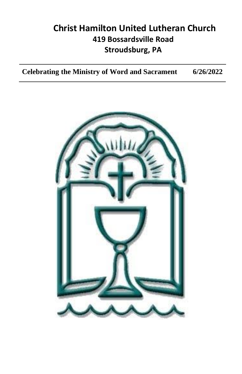# **Christ Hamilton United Lutheran Church 419 Bossardsville Road Stroudsburg, PA**

**Celebrating the Ministry of Word and Sacrament 6/26/2022**

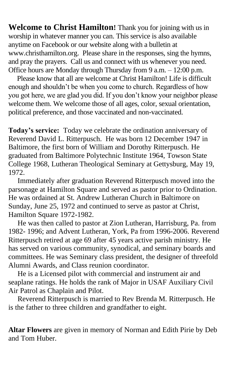**Welcome to Christ Hamilton!** Thank you for joining with us in worship in whatever manner you can. This service is also available anytime on Facebook or our website along with a bulletin at www.christhamilton.org. Please share in the responses, sing the hymns, and pray the prayers. Call us and connect with us whenever you need. Office hours are Monday through Thursday from 9 a.m. – 12:00 p.m.

 Please know that all are welcome at Christ Hamilton! Life is difficult enough and shouldn't be when you come to church. Regardless of how you got here, we are glad you did. If you don't know your neighbor please welcome them. We welcome those of all ages, color, sexual orientation, political preference, and those vaccinated and non-vaccinated.

**Today's service:** Today we celebrate the ordination anniversary of Reverend David L. Ritterpusch. He was born 12 December 1947 in Baltimore, the first born of William and Dorothy Ritterpusch. He graduated from Baltimore Polytechnic Institute 1964, Towson State College 1968, Lutheran Theological Seminary at Gettysburg, May 19, 1972.

Immediately after graduation Reverend Ritterpusch moved into the parsonage at Hamilton Square and served as pastor prior to Ordination. He was ordained at St. Andrew Lutheran Church in Baltimore on Sunday, June 25, 1972 and continued to serve as pastor at Christ, Hamilton Square 1972-1982.

 He was then called to pastor at Zion Lutheran, Harrisburg, Pa. from 1982- 1996; and Advent Lutheran, York, Pa from 1996-2006. Reverend Ritterpusch retired at age 69 after 45 years active parish ministry. He has served on various community, synodical, and seminary boards and committees. He was Seminary class president, the designer of threefold Alumni Awards, and Class reunion coordinator.

 He is a Licensed pilot with commercial and instrument air and seaplane ratings. He holds the rank of Major in USAF Auxiliary Civil Air Patrol as Chaplain and Pilot.

 Reverend Ritterpusch is married to Rev Brenda M. Ritterpusch. He is the father to three children and grandfather to eight.

**Altar Flowers** are given in memory of Norman and Edith Pirie by Deb and Tom Huber.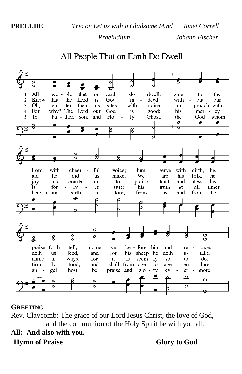# All People That on Earth Do Dwell



#### **GREETING**

Rev. Claycomb: The grace of our Lord Jesus Christ, the love of God, and the communion of the Holy Spirit be with you all.

## **All: And also with you. Hymn of Praise Glory to God**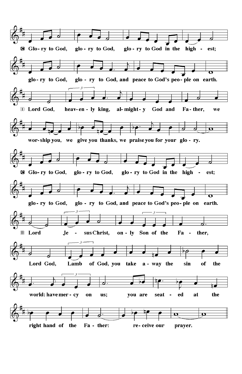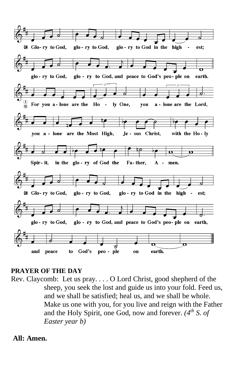

#### **PRAYER OF THE DAY**

Rev. Claycomb: Let us pray. . . . O Lord Christ, good shepherd of the sheep, you seek the lost and guide us into your fold. Feed us, and we shall be satisfied; heal us, and we shall be whole. Make us one with you, for you live and reign with the Father and the Holy Spirit, one God, now and forever. *(4th S. of Easter year b)*

**All: Amen.**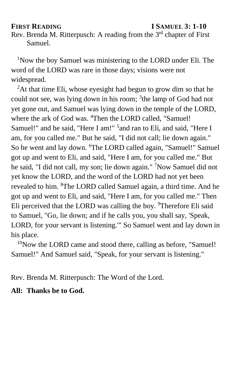#### **FIRST READING I SAMUEL 3: 1-10**

Rev. Brenda M. Ritterpusch: A reading from the 3<sup>rd</sup> chapter of First Samuel.

<sup>1</sup>Now the boy Samuel was ministering to the LORD under Eli. The word of the LORD was rare in those days; visions were not widespread.

 ${}^{2}$ At that time Eli, whose eyesight had begun to grow dim so that he could not see, was lying down in his room; <sup>3</sup>the lamp of God had not yet gone out, and Samuel was lying down in the temple of the LORD, where the ark of God was. <sup>4</sup>Then the LORD called, "Samuel! Samuel!" and he said, "Here I am!" <sup>5</sup> and ran to Eli, and said, "Here I am, for you called me." But he said, "I did not call; lie down again." So he went and lay down. <sup>6</sup>The LORD called again, "Samuel!" Samuel got up and went to Eli, and said, "Here I am, for you called me." But he said, "I did not call, my son; lie down again." <sup>7</sup>Now Samuel did not yet know the LORD, and the word of the LORD had not yet been revealed to him. <sup>8</sup>The LORD called Samuel again, a third time. And he got up and went to Eli, and said, "Here I am, for you called me." Then Eli perceived that the LORD was calling the boy. <sup>9</sup>Therefore Eli said to Samuel, "Go, lie down; and if he calls you, you shall say, 'Speak, LORD, for your servant is listening.'" So Samuel went and lay down in his place.

<sup>10</sup>Now the LORD came and stood there, calling as before, "Samuel! Samuel!" And Samuel said, "Speak, for your servant is listening."

Rev. Brenda M. Ritterpusch: The Word of the Lord.

#### **All: Thanks be to God.**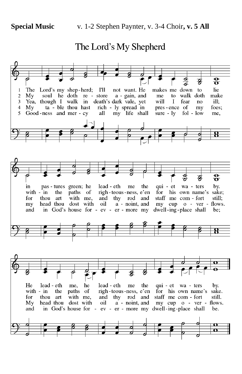## The Lord's My Shepherd

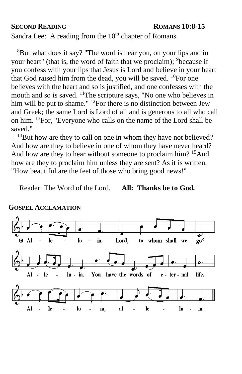#### **SECOND READING ROMANS 10:8-15**

Sandra Lee: A reading from the  $10<sup>th</sup>$  chapter of Romans.

<sup>8</sup>But what does it say? "The word is near you, on your lips and in your heart" (that is, the word of faith that we proclaim); <sup>9</sup>because if you confess with your lips that Jesus is Lord and believe in your heart that God raised him from the dead, you will be saved.  $^{10}$ For one believes with the heart and so is justified, and one confesses with the mouth and so is saved. <sup>11</sup>The scripture says, "No one who believes in him will be put to shame." <sup>12</sup>For there is no distinction between Jew and Greek; the same Lord is Lord of all and is generous to all who call on him. <sup>13</sup>For, "Everyone who calls on the name of the Lord shall be saved."

 $14$ But how are they to call on one in whom they have not believed? And how are they to believe in one of whom they have never heard? And how are they to hear without someone to proclaim him? <sup>15</sup>And how are they to proclaim him unless they are sent? As it is written, "How beautiful are the feet of those who bring good news!"

Reader: The Word of the Lord. **All: Thanks be to God.**



#### **GOSPEL ACCLAMATION**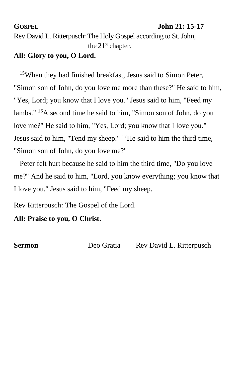#### **GOSPEL John 21: 15-17**

Rev David L. Ritterpusch: The Holy Gospel according to St. John, the  $21<sup>st</sup>$  chapter.

## **All: Glory to you, O Lord.**

<sup>15</sup>When they had finished breakfast, Jesus said to Simon Peter, "Simon son of John, do you love me more than these?" He said to him, "Yes, Lord; you know that I love you." Jesus said to him, "Feed my lambs." <sup>16</sup>A second time he said to him, "Simon son of John, do you love me?" He said to him, "Yes, Lord; you know that I love you." Jesus said to him, "Tend my sheep."  $17$ He said to him the third time, "Simon son of John, do you love me?"

 Peter felt hurt because he said to him the third time, "Do you love me?" And he said to him, "Lord, you know everything; you know that I love you." Jesus said to him, "Feed my sheep.

Rev Ritterpusch: The Gospel of the Lord.

**All: Praise to you, O Christ.** 

**Sermon** Deo Gratia Rev David L. Ritterpusch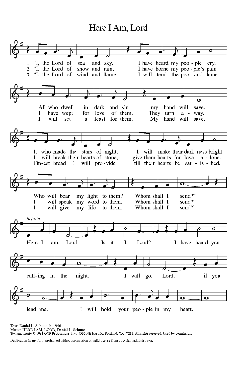## Here I Am, Lord



Text: Daniel L. Schutte, b. 1946 1ext: Dataier L. Scunute, 0. 12∓9<br>Music: HERE I AM, LORD, Daniel L. Schutte<br>Text and music © 1981 OCP Publications, Inc., 5536 NE Hassalo, Portland, OR 97213. All rights reserved. Used by permission.

Duplication in any form prohibited without permission or valid license from copyright administrator.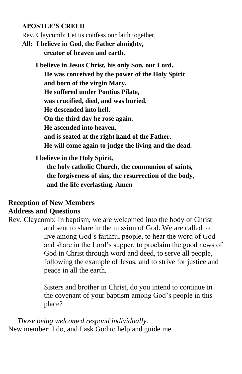#### **APOSTLE'S CREED**

Rev. Claycomb: Let us confess our faith together.

**All: I believe in God, the Father almighty, creator of heaven and earth.**

> **I believe in Jesus Christ, his only Son, our Lord. He was conceived by the power of the Holy Spirit and born of the virgin Mary. He suffered under Pontius Pilate, was crucified, died, and was buried. He descended into hell. On the third day he rose again. He ascended into heaven, and is seated at the right hand of the Father. He will come again to judge the living and the dead.**

#### **I believe in the Holy Spirit,**

**the holy catholic Church, the communion of saints, the forgiveness of sins, the resurrection of the body, and the life everlasting. Amen**

## **Reception of New Members Address and Questions**

Rev. Claycomb: In baptism, we are welcomed into the body of Christ and sent to share in the mission of God. We are called to live among God's faithful people, to hear the word of God and share in the Lord's supper, to proclaim the good news of God in Christ through word and deed, to serve all people, following the example of Jesus, and to strive for justice and peace in all the earth.

> Sisters and brother in Christ, do you intend to continue in the covenant of your baptism among God's people in this place?

 *Those being welcomed respond individually.* New member: I do, and I ask God to help and guide me.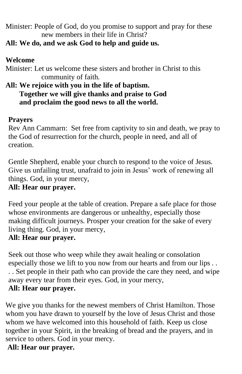Minister: People of God, do you promise to support and pray for these new members in their life in Christ?

## **All: We do, and we ask God to help and guide us.**

## **Welcome**

Minister: Let us welcome these sisters and brother in Christ to this community of faith.

## **All: We rejoice with you in the life of baptism. Together we will give thanks and praise to God and proclaim the good news to all the world.**

## **Prayers**

Rev Ann Cammarn: Set free from captivity to sin and death, we pray to the God of resurrection for the church, people in need, and all of creation.

Gentle Shepherd, enable your church to respond to the voice of Jesus. Give us unfailing trust, unafraid to join in Jesus' work of renewing all things. God, in your mercy,

## **All: Hear our prayer.**

Feed your people at the table of creation. Prepare a safe place for those whose environments are dangerous or unhealthy, especially those making difficult journeys. Prosper your creation for the sake of every living thing. God, in your mercy,

## **All: Hear our prayer.**

Seek out those who weep while they await healing or consolation especially those we lift to you now from our hearts and from our lips . . . . Set people in their path who can provide the care they need, and wipe away every tear from their eyes. God, in your mercy, **All: Hear our prayer.**

We give you thanks for the newest members of Christ Hamilton. Those whom you have drawn to yourself by the love of Jesus Christ and those whom we have welcomed into this household of faith. Keep us close together in your Spirit, in the breaking of bread and the prayers, and in service to others. God in your mercy.

## **All: Hear our prayer.**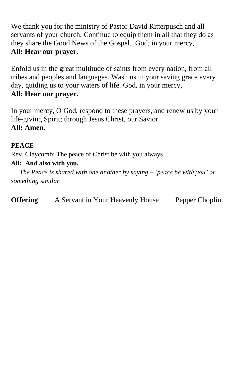We thank you for the ministry of Pastor David Ritterpusch and all servants of your church. Continue to equip them in all that they do as they share the Good News of the Gospel. God, in your mercy, **All: Hear our prayer.** 

Enfold us in the great multitude of saints from every nation, from all tribes and peoples and languages. Wash us in your saving grace every day, guiding us to your waters of life. God, in your mercy, **All: Hear our prayer.**

In your mercy, O God, respond to these prayers, and renew us by your life-giving Spirit; through Jesus Christ, our Savior. **All: Amen.**

### **PEACE**

Rev. Claycomb: The peace of Christ be with you always.

## **All: And also with you.**

 *The Peace is shared with one another by saying – 'peace be with you' or something similar.* 

**Offering** A Servant in Your Heavenly House Pepper Choplin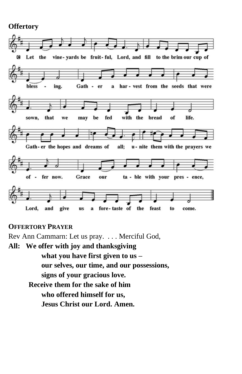### **Offertory**



#### **OFFERTORY PRAYER**

Rev Ann Cammarn: Let us pray. . . . Merciful God, **All: We offer with joy and thanksgiving what you have first given to us – our selves, our time, and our possessions, signs of your gracious love. Receive them for the sake of him who offered himself for us, Jesus Christ our Lord. Amen.**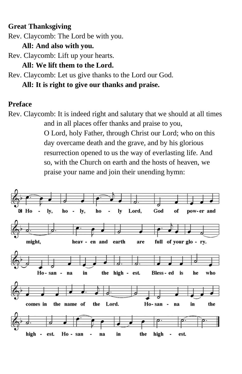## **Great Thanksgiving**

Rev. Claycomb: The Lord be with you.

**All: And also with you.**

Rev. Claycomb: Lift up your hearts.

**All: We lift them to the Lord.**

Rev. Claycomb: Let us give thanks to the Lord our God.

**All: It is right to give our thanks and praise.**

### **Preface**

Rev. Claycomb: It is indeed right and salutary that we should at all times and in all places offer thanks and praise to you, O Lord, holy Father, through Christ our Lord; who on this day overcame death and the grave, and by his glorious resurrection opened to us the way of everlasting life. And so, with the Church on earth and the hosts of heaven, we praise your name and join their unending hymn:

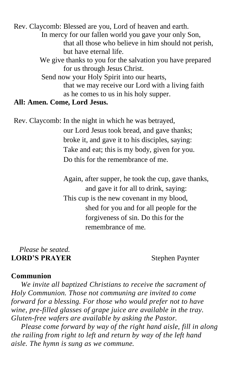Rev. Claycomb: Blessed are you, Lord of heaven and earth. In mercy for our fallen world you gave your only Son, that all those who believe in him should not perish, but have eternal life. We give thanks to you for the salvation you have prepared for us through Jesus Christ. Send now your Holy Spirit into our hearts, that we may receive our Lord with a living faith as he comes to us in his holy supper. **All: Amen. Come, Lord Jesus.**

Rev. Claycomb: In the night in which he was betrayed, our Lord Jesus took bread, and gave thanks; broke it, and gave it to his disciples, saying: Take and eat; this is my body, given for you. Do this for the remembrance of me.

> Again, after supper, he took the cup, gave thanks, and gave it for all to drink, saying: This cup is the new covenant in my blood, shed for you and for all people for the forgiveness of sin. Do this for the remembrance of me.

#### *Please be seated.* **LORD'S PRAYER** Stephen Paynter

### **Communion**

 *We invite all baptized Christians to receive the sacrament of Holy Communion. Those not communing are invited to come forward for a blessing. For those who would prefer not to have wine, pre-filled glasses of grape juice are available in the tray. Gluten-free wafers are available by asking the Pastor.*

 *Please come forward by way of the right hand aisle, fill in along the railing from right to left and return by way of the left hand aisle. The hymn is sung as we commune.*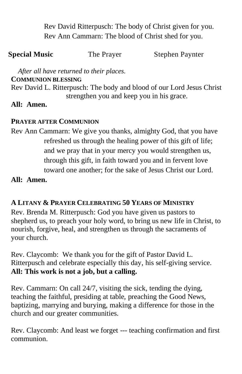Rev David Ritterpusch: The body of Christ given for you. Rev Ann Cammarn: The blood of Christ shed for you.

| <b>Special Music</b> | The Prayer | <b>Stephen Paynter</b> |
|----------------------|------------|------------------------|
|----------------------|------------|------------------------|

 *After all have returned to their places.* 

#### **COMMUNION BLESSING**

Rev David L. Ritterpusch: The body and blood of our Lord Jesus Christ strengthen you and keep you in his grace.

### **All: Amen.**

#### **PRAYER AFTER COMMUNION**

Rev Ann Cammarn: We give you thanks, almighty God, that you have refreshed us through the healing power of this gift of life; and we pray that in your mercy you would strengthen us, through this gift, in faith toward you and in fervent love toward one another; for the sake of Jesus Christ our Lord.

#### **All: Amen.**

#### **A LITANY & PRAYER CELEBRATING 50 YEARS OF MINISTRY**

Rev. Brenda M. Ritterpusch: God you have given us pastors to shepherd us, to preach your holy word, to bring us new life in Christ, to nourish, forgive, heal, and strengthen us through the sacraments of your church.

Rev. Claycomb: We thank you for the gift of Pastor David L. Ritterpusch and celebrate especially this day, his self-giving service. **All: This work is not a job, but a calling.** 

Rev. Cammarn: On call 24/7, visiting the sick, tending the dying, teaching the faithful, presiding at table, preaching the Good News, baptizing, marrying and burying, making a difference for those in the church and our greater communities.

Rev. Claycomb: And least we forget --- teaching confirmation and first communion.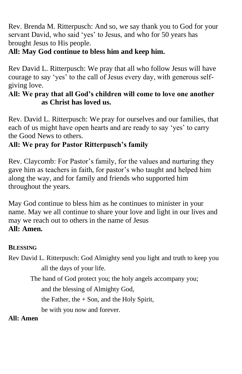Rev. Brenda M. Ritterpusch: And so, we say thank you to God for your servant David, who said 'yes' to Jesus, and who for 50 years has brought Jesus to His people.

## **All: May God continue to bless him and keep him.**

Rev David L. Ritterpusch: We pray that all who follow Jesus will have courage to say 'yes' to the call of Jesus every day, with generous selfgiving love.

## **All: We pray that all God's children will come to love one another as Christ has loved us.**

Rev. David L. Ritterpusch: We pray for ourselves and our families, that each of us might have open hearts and are ready to say 'yes' to carry the Good News to others.

## **All: We pray for Pastor Ritterpusch's family**

Rev. Claycomb: For Pastor's family, for the values and nurturing they gave him as teachers in faith, for pastor's who taught and helped him along the way, and for family and friends who supported him throughout the years.

May God continue to bless him as he continues to minister in your name. May we all continue to share your love and light in our lives and may we reach out to others in the name of Jesus **All: Amen.**

## **BLESSING**

Rev David L. Ritterpusch: God Almighty send you light and truth to keep you all the days of your life.

The hand of God protect you; the holy angels accompany you;

and the blessing of Almighty God,

the Father, the  $+$  Son, and the Holy Spirit,

be with you now and forever.

**All: Amen**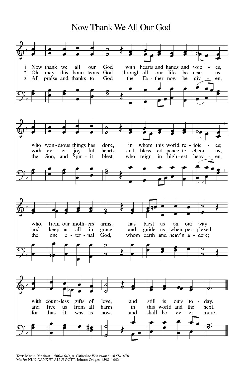# Now Thank We All Our God



Text: Martin Rinkhart, 1586-1649; tr. Catherine Winkworth, 1827-1878<br>Music: NUN DANKET ALLE GOTT, Johann Crüger, 1598-1662